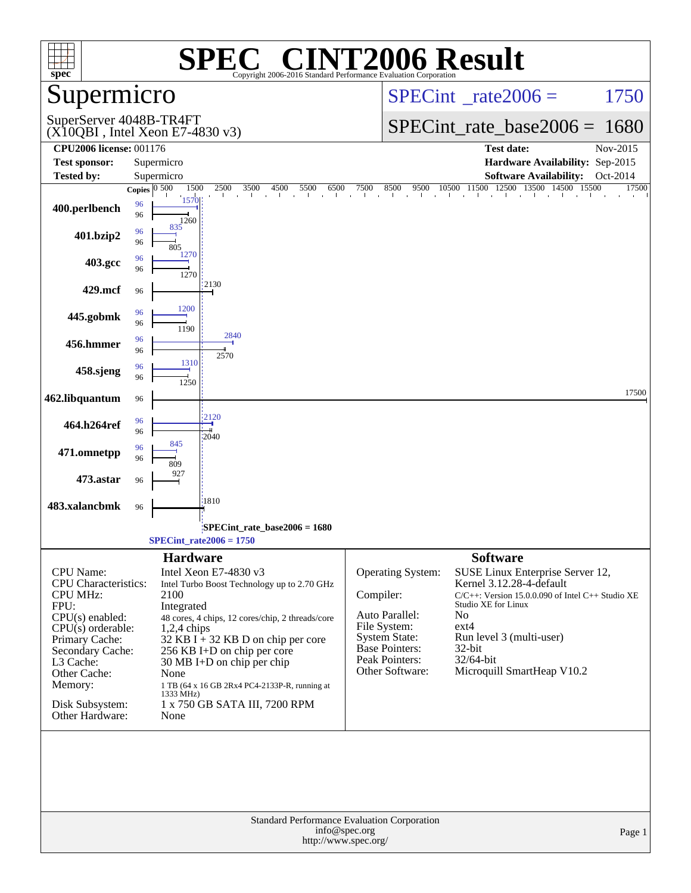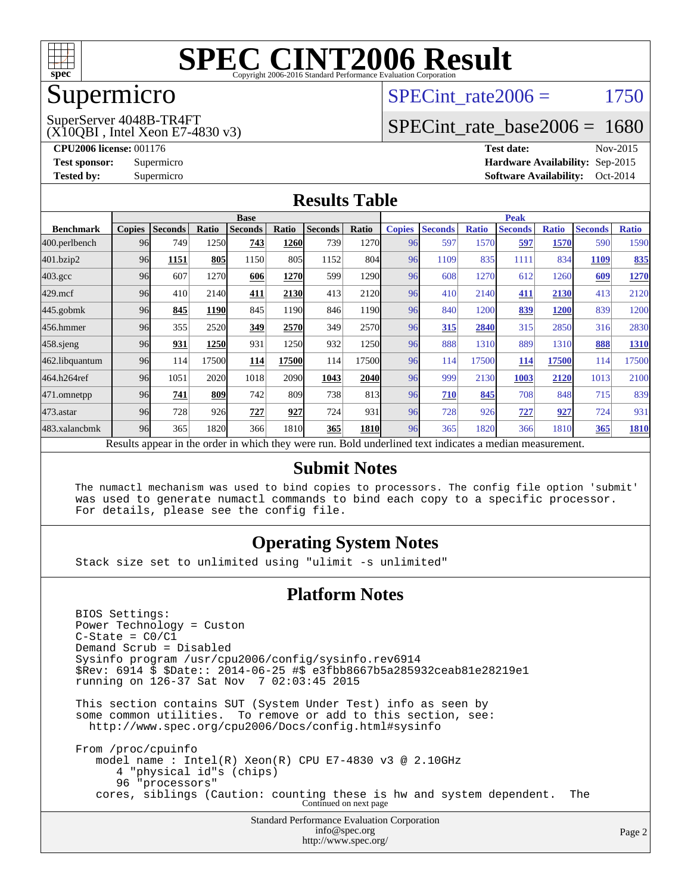

## Supermicro

#### SPECint rate $2006 = 1750$

(X10QBI , Intel Xeon E7-4830 v3) SuperServer 4048B-TR4FT

[SPECint\\_rate\\_base2006 =](http://www.spec.org/auto/cpu2006/Docs/result-fields.html#SPECintratebase2006) 1680

**[CPU2006 license:](http://www.spec.org/auto/cpu2006/Docs/result-fields.html#CPU2006license)** 001176 **[Test date:](http://www.spec.org/auto/cpu2006/Docs/result-fields.html#Testdate)** Nov-2015 **[Test sponsor:](http://www.spec.org/auto/cpu2006/Docs/result-fields.html#Testsponsor)** Supermicro **[Hardware Availability:](http://www.spec.org/auto/cpu2006/Docs/result-fields.html#HardwareAvailability)** Sep-2015 **[Tested by:](http://www.spec.org/auto/cpu2006/Docs/result-fields.html#Testedby)** Supermicro **[Software Availability:](http://www.spec.org/auto/cpu2006/Docs/result-fields.html#SoftwareAvailability)** Oct-2014

#### **[Results Table](http://www.spec.org/auto/cpu2006/Docs/result-fields.html#ResultsTable)**

|                                                                                                          | <b>Base</b>   |                |       |                |             |                |             | <b>Peak</b>   |                |              |                |              |                |              |
|----------------------------------------------------------------------------------------------------------|---------------|----------------|-------|----------------|-------------|----------------|-------------|---------------|----------------|--------------|----------------|--------------|----------------|--------------|
| <b>Benchmark</b>                                                                                         | <b>Copies</b> | <b>Seconds</b> | Ratio | <b>Seconds</b> | Ratio       | <b>Seconds</b> | Ratio       | <b>Copies</b> | <b>Seconds</b> | <b>Ratio</b> | <b>Seconds</b> | <b>Ratio</b> | <b>Seconds</b> | <b>Ratio</b> |
| 400.perlbench                                                                                            | 96            | 749            | 1250  | 743            | <b>1260</b> | 739            | 1270        | 96            | 597            | 1570         | 597            | 1570         | 590            | 1590         |
| 401.bzip2                                                                                                | 96            | 1151           | 805   | 1150           | 805         | 1152           | 804         | 96            | 1109           | 835          | 1111           | 834          | 1109           | 835          |
| $403.\text{gcc}$                                                                                         | 96            | 607            | 1270  | 606            | 1270        | 599            | 1290        | 96            | 608            | 1270         | 612            | 1260         | 609            | 1270         |
| $429$ .mcf                                                                                               | 96            | 410            | 2140  | 411            | 2130        | 413            | 2120        | 96            | 410            | 2140         | 411            | 2130         | 413            | 2120         |
| $445$ .gobmk                                                                                             | 96            | 845            | 1190  | 845            | 1190        | 846            | 1190        | 96            | 840            | 1200         | 839            | 1200         | 839            | 1200         |
| 456.hmmer                                                                                                | 96            | 355            | 2520  | 349            | 2570        | 349            | 2570        | 96            | 315            | 2840         | 315            | 2850         | 316            | 2830         |
| $458$ .sjeng                                                                                             | 96            | 931            | 1250  | 931            | 1250        | 932            | 1250        | 96            | 888            | 1310         | 889            | 1310         | 888            | 1310         |
| 462.libquantum                                                                                           | 96            | 114            | 17500 | 114            | 17500       | 114            | 17500       | 96            | 114            | 17500        | 114            | 17500        | 114            | 17500        |
| 464.h264ref                                                                                              | 96            | 1051           | 2020  | 1018           | 2090        | 1043           | 2040        | 96            | 999            | 2130         | 1003           | 2120         | 1013           | 2100         |
| 471.omnetpp                                                                                              | 96            | 741            | 809   | 742            | 809         | 738            | 813         | 96            | 710            | 845          | 708            | 848          | 715            | 839          |
| 473.astar                                                                                                | 96            | 728            | 926   | 727            | 927         | 724            | 931         | 96            | 728            | 926          | 727            | 927          | 724            | 931          |
| 483.xalancbmk                                                                                            | 96            | 365            | 1820  | 366            | 1810        | 365            | <b>1810</b> | 96            | 365            | 1820         | 366            | 1810         | 365            | 1810         |
| Results appear in the order in which they were run. Bold underlined text indicates a median measurement. |               |                |       |                |             |                |             |               |                |              |                |              |                |              |

#### **[Submit Notes](http://www.spec.org/auto/cpu2006/Docs/result-fields.html#SubmitNotes)**

 The numactl mechanism was used to bind copies to processors. The config file option 'submit' was used to generate numactl commands to bind each copy to a specific processor. For details, please see the config file.

#### **[Operating System Notes](http://www.spec.org/auto/cpu2006/Docs/result-fields.html#OperatingSystemNotes)**

Stack size set to unlimited using "ulimit -s unlimited"

#### **[Platform Notes](http://www.spec.org/auto/cpu2006/Docs/result-fields.html#PlatformNotes)**

Standard Performance Evaluation Corporation [info@spec.org](mailto:info@spec.org) BIOS Settings: Power Technology = Custon  $C-State = C0/C1$  Demand Scrub = Disabled Sysinfo program /usr/cpu2006/config/sysinfo.rev6914 \$Rev: 6914 \$ \$Date:: 2014-06-25 #\$ e3fbb8667b5a285932ceab81e28219e1 running on 126-37 Sat Nov 7 02:03:45 2015 This section contains SUT (System Under Test) info as seen by some common utilities. To remove or add to this section, see: <http://www.spec.org/cpu2006/Docs/config.html#sysinfo> From /proc/cpuinfo model name : Intel(R) Xeon(R) CPU E7-4830 v3 @ 2.10GHz 4 "physical id"s (chips) 96 "processors" cores, siblings (Caution: counting these is hw and system dependent. The Continued on next page

<http://www.spec.org/>

Page 2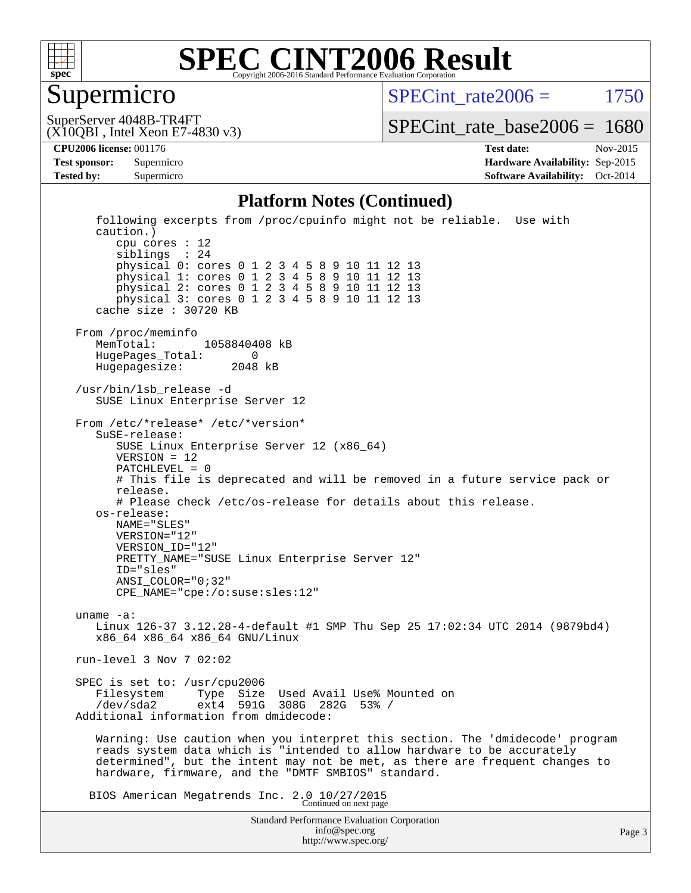

#### Supermicro

 $SPECint rate2006 = 1750$ 

(X10QBI , Intel Xeon E7-4830 v3) SuperServer 4048B-TR4FT

[SPECint\\_rate\\_base2006 =](http://www.spec.org/auto/cpu2006/Docs/result-fields.html#SPECintratebase2006) 1680

**[CPU2006 license:](http://www.spec.org/auto/cpu2006/Docs/result-fields.html#CPU2006license)** 001176 **[Test date:](http://www.spec.org/auto/cpu2006/Docs/result-fields.html#Testdate)** Nov-2015 **[Test sponsor:](http://www.spec.org/auto/cpu2006/Docs/result-fields.html#Testsponsor)** Supermicro **[Hardware Availability:](http://www.spec.org/auto/cpu2006/Docs/result-fields.html#HardwareAvailability)** Sep-2015 **[Tested by:](http://www.spec.org/auto/cpu2006/Docs/result-fields.html#Testedby)** Supermicro **[Software Availability:](http://www.spec.org/auto/cpu2006/Docs/result-fields.html#SoftwareAvailability)** Oct-2014

#### **[Platform Notes \(Continued\)](http://www.spec.org/auto/cpu2006/Docs/result-fields.html#PlatformNotes)**

Standard Performance Evaluation Corporation [info@spec.org](mailto:info@spec.org) following excerpts from /proc/cpuinfo might not be reliable. Use with caution.) cpu cores : 12 siblings : 24 physical 0: cores 0 1 2 3 4 5 8 9 10 11 12 13 physical 1: cores 0 1 2 3 4 5 8 9 10 11 12 13 physical 2: cores 0 1 2 3 4 5 8 9 10 11 12 13 physical 3: cores 0 1 2 3 4 5 8 9 10 11 12 13 cache size : 30720 KB From /proc/meminfo MemTotal: 1058840408 kB HugePages\_Total: 0<br>Hugepagesize: 2048 kB Hugepagesize: /usr/bin/lsb\_release -d SUSE Linux Enterprise Server 12 From /etc/\*release\* /etc/\*version\* SuSE-release: SUSE Linux Enterprise Server 12 (x86\_64) VERSION = 12 PATCHLEVEL = 0 # This file is deprecated and will be removed in a future service pack or release. # Please check /etc/os-release for details about this release. os-release: NAME="SLES" VERSION="12" VERSION\_ID="12" PRETTY\_NAME="SUSE Linux Enterprise Server 12" ID="sles" ANSI\_COLOR="0;32" CPE\_NAME="cpe:/o:suse:sles:12" uname -a: Linux 126-37 3.12.28-4-default #1 SMP Thu Sep 25 17:02:34 UTC 2014 (9879bd4) x86\_64 x86\_64 x86\_64 GNU/Linux run-level 3 Nov 7 02:02 SPEC is set to: /usr/cpu2006<br>Filesystem Type Size Filesystem Type Size Used Avail Use% Mounted on<br>
/dev/sda2 ext4 591G 308G 282G 53% / /dev/sda2 ext4 591G 308G 282G 53% / Additional information from dmidecode: Warning: Use caution when you interpret this section. The 'dmidecode' program reads system data which is "intended to allow hardware to be accurately determined", but the intent may not be met, as there are frequent changes to hardware, firmware, and the "DMTF SMBIOS" standard. BIOS American Megatrends Inc. 2.0 10/27/2015 Continued on next page

<http://www.spec.org/>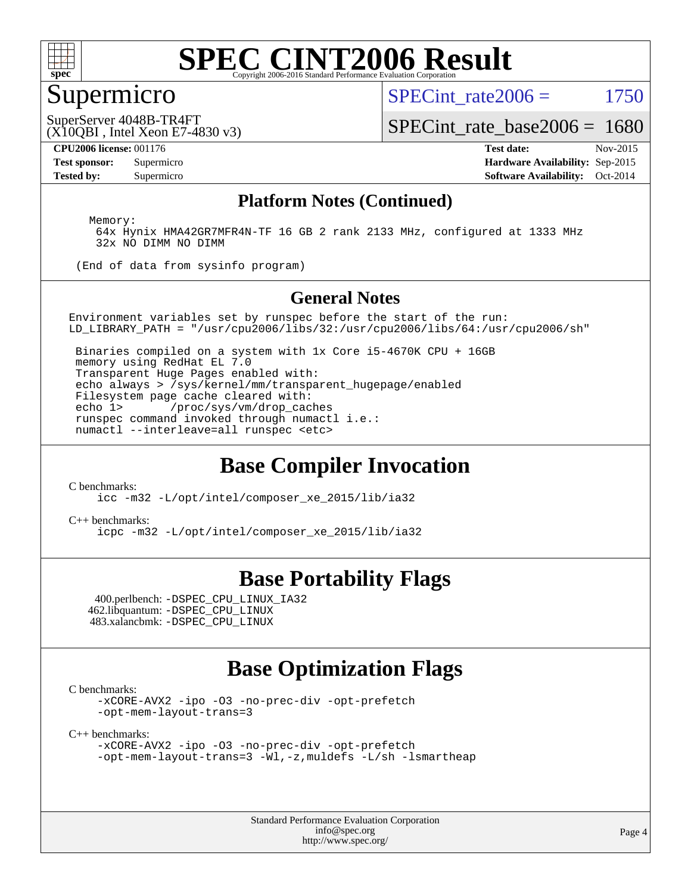

#### Supermicro

SPECint rate $2006 = 1750$ 

(X10QBI , Intel Xeon E7-4830 v3) SuperServer 4048B-TR4FT

[SPECint\\_rate\\_base2006 =](http://www.spec.org/auto/cpu2006/Docs/result-fields.html#SPECintratebase2006) 1680

**[CPU2006 license:](http://www.spec.org/auto/cpu2006/Docs/result-fields.html#CPU2006license)** 001176 **[Test date:](http://www.spec.org/auto/cpu2006/Docs/result-fields.html#Testdate)** Nov-2015 **[Test sponsor:](http://www.spec.org/auto/cpu2006/Docs/result-fields.html#Testsponsor)** Supermicro **[Hardware Availability:](http://www.spec.org/auto/cpu2006/Docs/result-fields.html#HardwareAvailability)** Sep-2015 **[Tested by:](http://www.spec.org/auto/cpu2006/Docs/result-fields.html#Testedby)** Supermicro **[Software Availability:](http://www.spec.org/auto/cpu2006/Docs/result-fields.html#SoftwareAvailability)** Oct-2014

#### **[Platform Notes \(Continued\)](http://www.spec.org/auto/cpu2006/Docs/result-fields.html#PlatformNotes)**

Memory:

 64x Hynix HMA42GR7MFR4N-TF 16 GB 2 rank 2133 MHz, configured at 1333 MHz 32x NO DIMM NO DIMM

(End of data from sysinfo program)

#### **[General Notes](http://www.spec.org/auto/cpu2006/Docs/result-fields.html#GeneralNotes)**

Environment variables set by runspec before the start of the run: LD\_LIBRARY\_PATH = "/usr/cpu2006/libs/32:/usr/cpu2006/libs/64:/usr/cpu2006/sh"

 Binaries compiled on a system with 1x Core i5-4670K CPU + 16GB memory using RedHat EL 7.0 Transparent Huge Pages enabled with: echo always > /sys/kernel/mm/transparent\_hugepage/enabled Filesystem page cache cleared with:<br>echo 1> /proc/sys/vm/drop cac /proc/sys/vm/drop\_caches runspec command invoked through numactl i.e.: numactl --interleave=all runspec <etc>

### **[Base Compiler Invocation](http://www.spec.org/auto/cpu2006/Docs/result-fields.html#BaseCompilerInvocation)**

[C benchmarks](http://www.spec.org/auto/cpu2006/Docs/result-fields.html#Cbenchmarks):

[icc -m32 -L/opt/intel/composer\\_xe\\_2015/lib/ia32](http://www.spec.org/cpu2006/results/res2016q1/cpu2006-20151215-38437.flags.html#user_CCbase_intel_icc_011b86df29f8c679b747245588698a4d)

[C++ benchmarks:](http://www.spec.org/auto/cpu2006/Docs/result-fields.html#CXXbenchmarks) [icpc -m32 -L/opt/intel/composer\\_xe\\_2015/lib/ia32](http://www.spec.org/cpu2006/results/res2016q1/cpu2006-20151215-38437.flags.html#user_CXXbase_intel_icpc_c2c99686a1a582c3e0de0b4806b02cea)

#### **[Base Portability Flags](http://www.spec.org/auto/cpu2006/Docs/result-fields.html#BasePortabilityFlags)**

 400.perlbench: [-DSPEC\\_CPU\\_LINUX\\_IA32](http://www.spec.org/cpu2006/results/res2016q1/cpu2006-20151215-38437.flags.html#b400.perlbench_baseCPORTABILITY_DSPEC_CPU_LINUX_IA32) 462.libquantum: [-DSPEC\\_CPU\\_LINUX](http://www.spec.org/cpu2006/results/res2016q1/cpu2006-20151215-38437.flags.html#b462.libquantum_baseCPORTABILITY_DSPEC_CPU_LINUX) 483.xalancbmk: [-DSPEC\\_CPU\\_LINUX](http://www.spec.org/cpu2006/results/res2016q1/cpu2006-20151215-38437.flags.html#b483.xalancbmk_baseCXXPORTABILITY_DSPEC_CPU_LINUX)

### **[Base Optimization Flags](http://www.spec.org/auto/cpu2006/Docs/result-fields.html#BaseOptimizationFlags)**

[C benchmarks](http://www.spec.org/auto/cpu2006/Docs/result-fields.html#Cbenchmarks):

[-xCORE-AVX2](http://www.spec.org/cpu2006/results/res2016q1/cpu2006-20151215-38437.flags.html#user_CCbase_f-xAVX2_5f5fc0cbe2c9f62c816d3e45806c70d7) [-ipo](http://www.spec.org/cpu2006/results/res2016q1/cpu2006-20151215-38437.flags.html#user_CCbase_f-ipo) [-O3](http://www.spec.org/cpu2006/results/res2016q1/cpu2006-20151215-38437.flags.html#user_CCbase_f-O3) [-no-prec-div](http://www.spec.org/cpu2006/results/res2016q1/cpu2006-20151215-38437.flags.html#user_CCbase_f-no-prec-div) [-opt-prefetch](http://www.spec.org/cpu2006/results/res2016q1/cpu2006-20151215-38437.flags.html#user_CCbase_f-opt-prefetch) [-opt-mem-layout-trans=3](http://www.spec.org/cpu2006/results/res2016q1/cpu2006-20151215-38437.flags.html#user_CCbase_f-opt-mem-layout-trans_a7b82ad4bd7abf52556d4961a2ae94d5)

[C++ benchmarks:](http://www.spec.org/auto/cpu2006/Docs/result-fields.html#CXXbenchmarks)

[-xCORE-AVX2](http://www.spec.org/cpu2006/results/res2016q1/cpu2006-20151215-38437.flags.html#user_CXXbase_f-xAVX2_5f5fc0cbe2c9f62c816d3e45806c70d7) [-ipo](http://www.spec.org/cpu2006/results/res2016q1/cpu2006-20151215-38437.flags.html#user_CXXbase_f-ipo) [-O3](http://www.spec.org/cpu2006/results/res2016q1/cpu2006-20151215-38437.flags.html#user_CXXbase_f-O3) [-no-prec-div](http://www.spec.org/cpu2006/results/res2016q1/cpu2006-20151215-38437.flags.html#user_CXXbase_f-no-prec-div) [-opt-prefetch](http://www.spec.org/cpu2006/results/res2016q1/cpu2006-20151215-38437.flags.html#user_CXXbase_f-opt-prefetch) [-opt-mem-layout-trans=3](http://www.spec.org/cpu2006/results/res2016q1/cpu2006-20151215-38437.flags.html#user_CXXbase_f-opt-mem-layout-trans_a7b82ad4bd7abf52556d4961a2ae94d5) [-Wl,-z,muldefs](http://www.spec.org/cpu2006/results/res2016q1/cpu2006-20151215-38437.flags.html#user_CXXbase_link_force_multiple1_74079c344b956b9658436fd1b6dd3a8a) [-L/sh -lsmartheap](http://www.spec.org/cpu2006/results/res2016q1/cpu2006-20151215-38437.flags.html#user_CXXbase_SmartHeap_32f6c82aa1ed9c52345d30cf6e4a0499)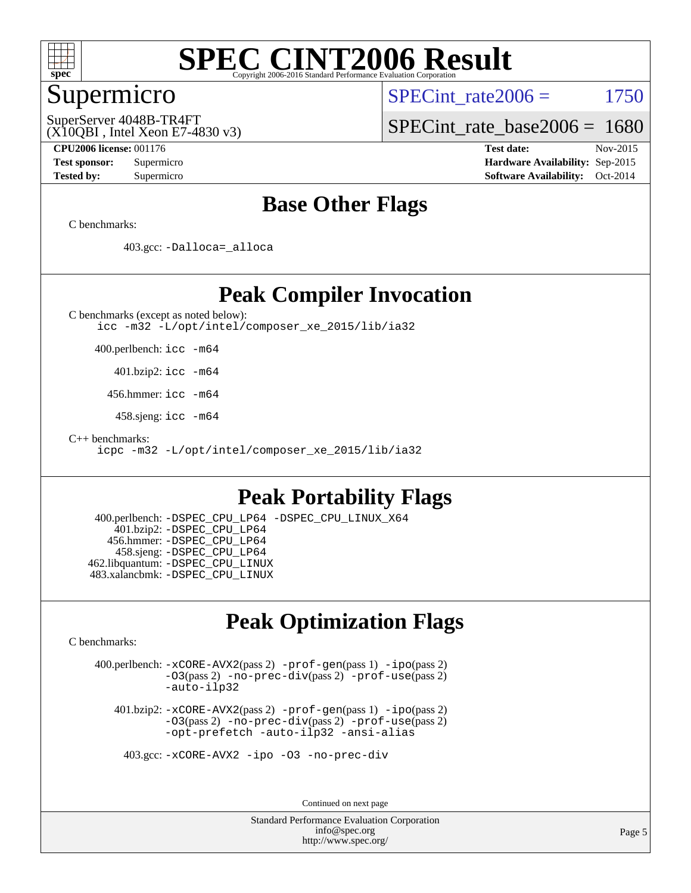

#### Supermicro

SPECint rate $2006 = 1750$ 

(X10QBI , Intel Xeon E7-4830 v3) SuperServer 4048B-TR4FT

[SPECint\\_rate\\_base2006 =](http://www.spec.org/auto/cpu2006/Docs/result-fields.html#SPECintratebase2006) 1680

**[CPU2006 license:](http://www.spec.org/auto/cpu2006/Docs/result-fields.html#CPU2006license)** 001176 **[Test date:](http://www.spec.org/auto/cpu2006/Docs/result-fields.html#Testdate)** Nov-2015 **[Test sponsor:](http://www.spec.org/auto/cpu2006/Docs/result-fields.html#Testsponsor)** Supermicro **[Hardware Availability:](http://www.spec.org/auto/cpu2006/Docs/result-fields.html#HardwareAvailability)** Sep-2015 **[Tested by:](http://www.spec.org/auto/cpu2006/Docs/result-fields.html#Testedby)** Supermicro **[Software Availability:](http://www.spec.org/auto/cpu2006/Docs/result-fields.html#SoftwareAvailability)** Oct-2014

### **[Base Other Flags](http://www.spec.org/auto/cpu2006/Docs/result-fields.html#BaseOtherFlags)**

[C benchmarks](http://www.spec.org/auto/cpu2006/Docs/result-fields.html#Cbenchmarks):

403.gcc: [-Dalloca=\\_alloca](http://www.spec.org/cpu2006/results/res2016q1/cpu2006-20151215-38437.flags.html#b403.gcc_baseEXTRA_CFLAGS_Dalloca_be3056838c12de2578596ca5467af7f3)

#### **[Peak Compiler Invocation](http://www.spec.org/auto/cpu2006/Docs/result-fields.html#PeakCompilerInvocation)**

[C benchmarks \(except as noted below\)](http://www.spec.org/auto/cpu2006/Docs/result-fields.html#Cbenchmarksexceptasnotedbelow): [icc -m32 -L/opt/intel/composer\\_xe\\_2015/lib/ia32](http://www.spec.org/cpu2006/results/res2016q1/cpu2006-20151215-38437.flags.html#user_CCpeak_intel_icc_011b86df29f8c679b747245588698a4d)

400.perlbench: [icc -m64](http://www.spec.org/cpu2006/results/res2016q1/cpu2006-20151215-38437.flags.html#user_peakCCLD400_perlbench_intel_icc_64bit_bda6cc9af1fdbb0edc3795bac97ada53)

401.bzip2: [icc -m64](http://www.spec.org/cpu2006/results/res2016q1/cpu2006-20151215-38437.flags.html#user_peakCCLD401_bzip2_intel_icc_64bit_bda6cc9af1fdbb0edc3795bac97ada53)

456.hmmer: [icc -m64](http://www.spec.org/cpu2006/results/res2016q1/cpu2006-20151215-38437.flags.html#user_peakCCLD456_hmmer_intel_icc_64bit_bda6cc9af1fdbb0edc3795bac97ada53)

458.sjeng: [icc -m64](http://www.spec.org/cpu2006/results/res2016q1/cpu2006-20151215-38437.flags.html#user_peakCCLD458_sjeng_intel_icc_64bit_bda6cc9af1fdbb0edc3795bac97ada53)

[C++ benchmarks:](http://www.spec.org/auto/cpu2006/Docs/result-fields.html#CXXbenchmarks)

[icpc -m32 -L/opt/intel/composer\\_xe\\_2015/lib/ia32](http://www.spec.org/cpu2006/results/res2016q1/cpu2006-20151215-38437.flags.html#user_CXXpeak_intel_icpc_c2c99686a1a582c3e0de0b4806b02cea)

### **[Peak Portability Flags](http://www.spec.org/auto/cpu2006/Docs/result-fields.html#PeakPortabilityFlags)**

 400.perlbench: [-DSPEC\\_CPU\\_LP64](http://www.spec.org/cpu2006/results/res2016q1/cpu2006-20151215-38437.flags.html#b400.perlbench_peakCPORTABILITY_DSPEC_CPU_LP64) [-DSPEC\\_CPU\\_LINUX\\_X64](http://www.spec.org/cpu2006/results/res2016q1/cpu2006-20151215-38437.flags.html#b400.perlbench_peakCPORTABILITY_DSPEC_CPU_LINUX_X64) 401.bzip2: [-DSPEC\\_CPU\\_LP64](http://www.spec.org/cpu2006/results/res2016q1/cpu2006-20151215-38437.flags.html#suite_peakCPORTABILITY401_bzip2_DSPEC_CPU_LP64) 456.hmmer: [-DSPEC\\_CPU\\_LP64](http://www.spec.org/cpu2006/results/res2016q1/cpu2006-20151215-38437.flags.html#suite_peakCPORTABILITY456_hmmer_DSPEC_CPU_LP64) 458.sjeng: [-DSPEC\\_CPU\\_LP64](http://www.spec.org/cpu2006/results/res2016q1/cpu2006-20151215-38437.flags.html#suite_peakCPORTABILITY458_sjeng_DSPEC_CPU_LP64) 462.libquantum: [-DSPEC\\_CPU\\_LINUX](http://www.spec.org/cpu2006/results/res2016q1/cpu2006-20151215-38437.flags.html#b462.libquantum_peakCPORTABILITY_DSPEC_CPU_LINUX) 483.xalancbmk: [-DSPEC\\_CPU\\_LINUX](http://www.spec.org/cpu2006/results/res2016q1/cpu2006-20151215-38437.flags.html#b483.xalancbmk_peakCXXPORTABILITY_DSPEC_CPU_LINUX)

### **[Peak Optimization Flags](http://www.spec.org/auto/cpu2006/Docs/result-fields.html#PeakOptimizationFlags)**

[C benchmarks](http://www.spec.org/auto/cpu2006/Docs/result-fields.html#Cbenchmarks):

 400.perlbench: [-xCORE-AVX2](http://www.spec.org/cpu2006/results/res2016q1/cpu2006-20151215-38437.flags.html#user_peakPASS2_CFLAGSPASS2_LDCFLAGS400_perlbench_f-xAVX2_5f5fc0cbe2c9f62c816d3e45806c70d7)(pass 2) [-prof-gen](http://www.spec.org/cpu2006/results/res2016q1/cpu2006-20151215-38437.flags.html#user_peakPASS1_CFLAGSPASS1_LDCFLAGS400_perlbench_prof_gen_e43856698f6ca7b7e442dfd80e94a8fc)(pass 1) [-ipo](http://www.spec.org/cpu2006/results/res2016q1/cpu2006-20151215-38437.flags.html#user_peakPASS2_CFLAGSPASS2_LDCFLAGS400_perlbench_f-ipo)(pass 2) [-O3](http://www.spec.org/cpu2006/results/res2016q1/cpu2006-20151215-38437.flags.html#user_peakPASS2_CFLAGSPASS2_LDCFLAGS400_perlbench_f-O3)(pass 2) [-no-prec-div](http://www.spec.org/cpu2006/results/res2016q1/cpu2006-20151215-38437.flags.html#user_peakPASS2_CFLAGSPASS2_LDCFLAGS400_perlbench_f-no-prec-div)(pass 2) [-prof-use](http://www.spec.org/cpu2006/results/res2016q1/cpu2006-20151215-38437.flags.html#user_peakPASS2_CFLAGSPASS2_LDCFLAGS400_perlbench_prof_use_bccf7792157ff70d64e32fe3e1250b55)(pass 2) [-auto-ilp32](http://www.spec.org/cpu2006/results/res2016q1/cpu2006-20151215-38437.flags.html#user_peakCOPTIMIZE400_perlbench_f-auto-ilp32)

 401.bzip2: [-xCORE-AVX2](http://www.spec.org/cpu2006/results/res2016q1/cpu2006-20151215-38437.flags.html#user_peakPASS2_CFLAGSPASS2_LDCFLAGS401_bzip2_f-xAVX2_5f5fc0cbe2c9f62c816d3e45806c70d7)(pass 2) [-prof-gen](http://www.spec.org/cpu2006/results/res2016q1/cpu2006-20151215-38437.flags.html#user_peakPASS1_CFLAGSPASS1_LDCFLAGS401_bzip2_prof_gen_e43856698f6ca7b7e442dfd80e94a8fc)(pass 1) [-ipo](http://www.spec.org/cpu2006/results/res2016q1/cpu2006-20151215-38437.flags.html#user_peakPASS2_CFLAGSPASS2_LDCFLAGS401_bzip2_f-ipo)(pass 2) [-O3](http://www.spec.org/cpu2006/results/res2016q1/cpu2006-20151215-38437.flags.html#user_peakPASS2_CFLAGSPASS2_LDCFLAGS401_bzip2_f-O3)(pass 2) [-no-prec-div](http://www.spec.org/cpu2006/results/res2016q1/cpu2006-20151215-38437.flags.html#user_peakPASS2_CFLAGSPASS2_LDCFLAGS401_bzip2_f-no-prec-div)(pass 2) [-prof-use](http://www.spec.org/cpu2006/results/res2016q1/cpu2006-20151215-38437.flags.html#user_peakPASS2_CFLAGSPASS2_LDCFLAGS401_bzip2_prof_use_bccf7792157ff70d64e32fe3e1250b55)(pass 2) [-opt-prefetch](http://www.spec.org/cpu2006/results/res2016q1/cpu2006-20151215-38437.flags.html#user_peakCOPTIMIZE401_bzip2_f-opt-prefetch) [-auto-ilp32](http://www.spec.org/cpu2006/results/res2016q1/cpu2006-20151215-38437.flags.html#user_peakCOPTIMIZE401_bzip2_f-auto-ilp32) [-ansi-alias](http://www.spec.org/cpu2006/results/res2016q1/cpu2006-20151215-38437.flags.html#user_peakCOPTIMIZE401_bzip2_f-ansi-alias)

403.gcc: [-xCORE-AVX2](http://www.spec.org/cpu2006/results/res2016q1/cpu2006-20151215-38437.flags.html#user_peakCOPTIMIZE403_gcc_f-xAVX2_5f5fc0cbe2c9f62c816d3e45806c70d7) [-ipo](http://www.spec.org/cpu2006/results/res2016q1/cpu2006-20151215-38437.flags.html#user_peakCOPTIMIZE403_gcc_f-ipo) [-O3](http://www.spec.org/cpu2006/results/res2016q1/cpu2006-20151215-38437.flags.html#user_peakCOPTIMIZE403_gcc_f-O3) [-no-prec-div](http://www.spec.org/cpu2006/results/res2016q1/cpu2006-20151215-38437.flags.html#user_peakCOPTIMIZE403_gcc_f-no-prec-div)

Continued on next page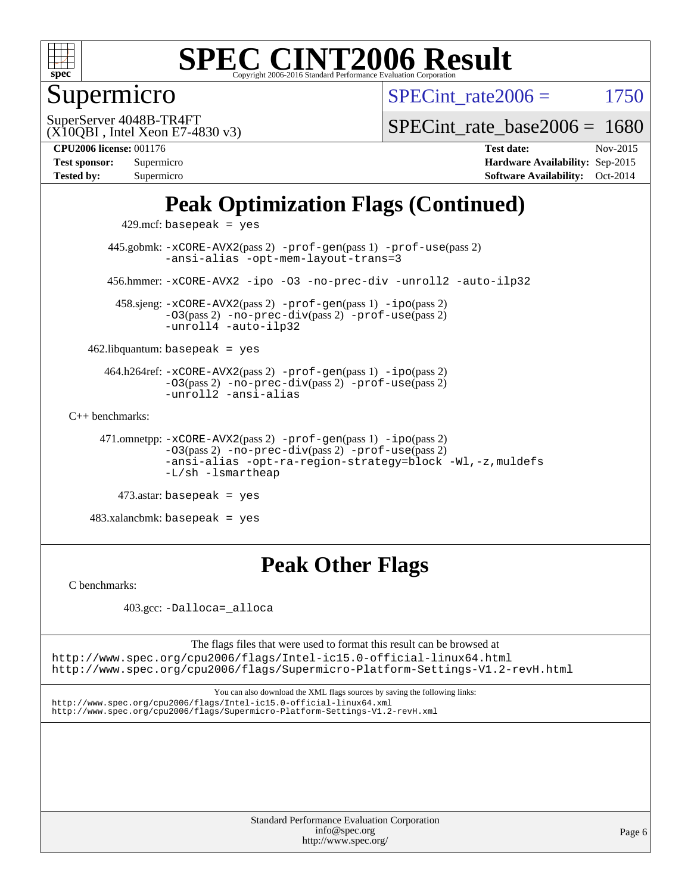

## Supermicro

SPECint rate $2006 = 1750$ 

(X10QBI , Intel Xeon E7-4830 v3) SuperServer 4048B-TR4FT

[SPECint\\_rate\\_base2006 =](http://www.spec.org/auto/cpu2006/Docs/result-fields.html#SPECintratebase2006) 1680

**[Tested by:](http://www.spec.org/auto/cpu2006/Docs/result-fields.html#Testedby)** Supermicro **[Software Availability:](http://www.spec.org/auto/cpu2006/Docs/result-fields.html#SoftwareAvailability)** Oct-2014

**[CPU2006 license:](http://www.spec.org/auto/cpu2006/Docs/result-fields.html#CPU2006license)** 001176 **[Test date:](http://www.spec.org/auto/cpu2006/Docs/result-fields.html#Testdate)** Nov-2015 **[Test sponsor:](http://www.spec.org/auto/cpu2006/Docs/result-fields.html#Testsponsor)** Supermicro **[Hardware Availability:](http://www.spec.org/auto/cpu2006/Docs/result-fields.html#HardwareAvailability)** Sep-2015

# **[Peak Optimization Flags \(Continued\)](http://www.spec.org/auto/cpu2006/Docs/result-fields.html#PeakOptimizationFlags)**

429.mcf: basepeak = yes

 445.gobmk: [-xCORE-AVX2](http://www.spec.org/cpu2006/results/res2016q1/cpu2006-20151215-38437.flags.html#user_peakPASS2_CFLAGSPASS2_LDCFLAGS445_gobmk_f-xAVX2_5f5fc0cbe2c9f62c816d3e45806c70d7)(pass 2) [-prof-gen](http://www.spec.org/cpu2006/results/res2016q1/cpu2006-20151215-38437.flags.html#user_peakPASS1_CFLAGSPASS1_LDCFLAGS445_gobmk_prof_gen_e43856698f6ca7b7e442dfd80e94a8fc)(pass 1) [-prof-use](http://www.spec.org/cpu2006/results/res2016q1/cpu2006-20151215-38437.flags.html#user_peakPASS2_CFLAGSPASS2_LDCFLAGS445_gobmk_prof_use_bccf7792157ff70d64e32fe3e1250b55)(pass 2) [-ansi-alias](http://www.spec.org/cpu2006/results/res2016q1/cpu2006-20151215-38437.flags.html#user_peakCOPTIMIZE445_gobmk_f-ansi-alias) [-opt-mem-layout-trans=3](http://www.spec.org/cpu2006/results/res2016q1/cpu2006-20151215-38437.flags.html#user_peakCOPTIMIZE445_gobmk_f-opt-mem-layout-trans_a7b82ad4bd7abf52556d4961a2ae94d5) 456.hmmer: [-xCORE-AVX2](http://www.spec.org/cpu2006/results/res2016q1/cpu2006-20151215-38437.flags.html#user_peakCOPTIMIZE456_hmmer_f-xAVX2_5f5fc0cbe2c9f62c816d3e45806c70d7) [-ipo](http://www.spec.org/cpu2006/results/res2016q1/cpu2006-20151215-38437.flags.html#user_peakCOPTIMIZE456_hmmer_f-ipo) [-O3](http://www.spec.org/cpu2006/results/res2016q1/cpu2006-20151215-38437.flags.html#user_peakCOPTIMIZE456_hmmer_f-O3) [-no-prec-div](http://www.spec.org/cpu2006/results/res2016q1/cpu2006-20151215-38437.flags.html#user_peakCOPTIMIZE456_hmmer_f-no-prec-div) [-unroll2](http://www.spec.org/cpu2006/results/res2016q1/cpu2006-20151215-38437.flags.html#user_peakCOPTIMIZE456_hmmer_f-unroll_784dae83bebfb236979b41d2422d7ec2) [-auto-ilp32](http://www.spec.org/cpu2006/results/res2016q1/cpu2006-20151215-38437.flags.html#user_peakCOPTIMIZE456_hmmer_f-auto-ilp32)

 458.sjeng: [-xCORE-AVX2](http://www.spec.org/cpu2006/results/res2016q1/cpu2006-20151215-38437.flags.html#user_peakPASS2_CFLAGSPASS2_LDCFLAGS458_sjeng_f-xAVX2_5f5fc0cbe2c9f62c816d3e45806c70d7)(pass 2) [-prof-gen](http://www.spec.org/cpu2006/results/res2016q1/cpu2006-20151215-38437.flags.html#user_peakPASS1_CFLAGSPASS1_LDCFLAGS458_sjeng_prof_gen_e43856698f6ca7b7e442dfd80e94a8fc)(pass 1) [-ipo](http://www.spec.org/cpu2006/results/res2016q1/cpu2006-20151215-38437.flags.html#user_peakPASS2_CFLAGSPASS2_LDCFLAGS458_sjeng_f-ipo)(pass 2) [-O3](http://www.spec.org/cpu2006/results/res2016q1/cpu2006-20151215-38437.flags.html#user_peakPASS2_CFLAGSPASS2_LDCFLAGS458_sjeng_f-O3)(pass 2) [-no-prec-div](http://www.spec.org/cpu2006/results/res2016q1/cpu2006-20151215-38437.flags.html#user_peakPASS2_CFLAGSPASS2_LDCFLAGS458_sjeng_f-no-prec-div)(pass 2) [-prof-use](http://www.spec.org/cpu2006/results/res2016q1/cpu2006-20151215-38437.flags.html#user_peakPASS2_CFLAGSPASS2_LDCFLAGS458_sjeng_prof_use_bccf7792157ff70d64e32fe3e1250b55)(pass 2) [-unroll4](http://www.spec.org/cpu2006/results/res2016q1/cpu2006-20151215-38437.flags.html#user_peakCOPTIMIZE458_sjeng_f-unroll_4e5e4ed65b7fd20bdcd365bec371b81f) [-auto-ilp32](http://www.spec.org/cpu2006/results/res2016q1/cpu2006-20151215-38437.flags.html#user_peakCOPTIMIZE458_sjeng_f-auto-ilp32)

 $462$ .libquantum: basepeak = yes

 464.h264ref: [-xCORE-AVX2](http://www.spec.org/cpu2006/results/res2016q1/cpu2006-20151215-38437.flags.html#user_peakPASS2_CFLAGSPASS2_LDCFLAGS464_h264ref_f-xAVX2_5f5fc0cbe2c9f62c816d3e45806c70d7)(pass 2) [-prof-gen](http://www.spec.org/cpu2006/results/res2016q1/cpu2006-20151215-38437.flags.html#user_peakPASS1_CFLAGSPASS1_LDCFLAGS464_h264ref_prof_gen_e43856698f6ca7b7e442dfd80e94a8fc)(pass 1) [-ipo](http://www.spec.org/cpu2006/results/res2016q1/cpu2006-20151215-38437.flags.html#user_peakPASS2_CFLAGSPASS2_LDCFLAGS464_h264ref_f-ipo)(pass 2) [-O3](http://www.spec.org/cpu2006/results/res2016q1/cpu2006-20151215-38437.flags.html#user_peakPASS2_CFLAGSPASS2_LDCFLAGS464_h264ref_f-O3)(pass 2) [-no-prec-div](http://www.spec.org/cpu2006/results/res2016q1/cpu2006-20151215-38437.flags.html#user_peakPASS2_CFLAGSPASS2_LDCFLAGS464_h264ref_f-no-prec-div)(pass 2) [-prof-use](http://www.spec.org/cpu2006/results/res2016q1/cpu2006-20151215-38437.flags.html#user_peakPASS2_CFLAGSPASS2_LDCFLAGS464_h264ref_prof_use_bccf7792157ff70d64e32fe3e1250b55)(pass 2) [-unroll2](http://www.spec.org/cpu2006/results/res2016q1/cpu2006-20151215-38437.flags.html#user_peakCOPTIMIZE464_h264ref_f-unroll_784dae83bebfb236979b41d2422d7ec2) [-ansi-alias](http://www.spec.org/cpu2006/results/res2016q1/cpu2006-20151215-38437.flags.html#user_peakCOPTIMIZE464_h264ref_f-ansi-alias)

[C++ benchmarks:](http://www.spec.org/auto/cpu2006/Docs/result-fields.html#CXXbenchmarks)

 471.omnetpp: [-xCORE-AVX2](http://www.spec.org/cpu2006/results/res2016q1/cpu2006-20151215-38437.flags.html#user_peakPASS2_CXXFLAGSPASS2_LDCXXFLAGS471_omnetpp_f-xAVX2_5f5fc0cbe2c9f62c816d3e45806c70d7)(pass 2) [-prof-gen](http://www.spec.org/cpu2006/results/res2016q1/cpu2006-20151215-38437.flags.html#user_peakPASS1_CXXFLAGSPASS1_LDCXXFLAGS471_omnetpp_prof_gen_e43856698f6ca7b7e442dfd80e94a8fc)(pass 1) [-ipo](http://www.spec.org/cpu2006/results/res2016q1/cpu2006-20151215-38437.flags.html#user_peakPASS2_CXXFLAGSPASS2_LDCXXFLAGS471_omnetpp_f-ipo)(pass 2) [-O3](http://www.spec.org/cpu2006/results/res2016q1/cpu2006-20151215-38437.flags.html#user_peakPASS2_CXXFLAGSPASS2_LDCXXFLAGS471_omnetpp_f-O3)(pass 2) [-no-prec-div](http://www.spec.org/cpu2006/results/res2016q1/cpu2006-20151215-38437.flags.html#user_peakPASS2_CXXFLAGSPASS2_LDCXXFLAGS471_omnetpp_f-no-prec-div)(pass 2) [-prof-use](http://www.spec.org/cpu2006/results/res2016q1/cpu2006-20151215-38437.flags.html#user_peakPASS2_CXXFLAGSPASS2_LDCXXFLAGS471_omnetpp_prof_use_bccf7792157ff70d64e32fe3e1250b55)(pass 2) [-ansi-alias](http://www.spec.org/cpu2006/results/res2016q1/cpu2006-20151215-38437.flags.html#user_peakCXXOPTIMIZE471_omnetpp_f-ansi-alias) [-opt-ra-region-strategy=block](http://www.spec.org/cpu2006/results/res2016q1/cpu2006-20151215-38437.flags.html#user_peakCXXOPTIMIZE471_omnetpp_f-opt-ra-region-strategy_a0a37c372d03933b2a18d4af463c1f69) [-Wl,-z,muldefs](http://www.spec.org/cpu2006/results/res2016q1/cpu2006-20151215-38437.flags.html#user_peakEXTRA_LDFLAGS471_omnetpp_link_force_multiple1_74079c344b956b9658436fd1b6dd3a8a) [-L/sh -lsmartheap](http://www.spec.org/cpu2006/results/res2016q1/cpu2006-20151215-38437.flags.html#user_peakEXTRA_LIBS471_omnetpp_SmartHeap_32f6c82aa1ed9c52345d30cf6e4a0499)

 $473$ .astar: basepeak = yes

 $483.xalanchmk: basepeak = yes$ 

### **[Peak Other Flags](http://www.spec.org/auto/cpu2006/Docs/result-fields.html#PeakOtherFlags)**

[C benchmarks](http://www.spec.org/auto/cpu2006/Docs/result-fields.html#Cbenchmarks):

403.gcc: [-Dalloca=\\_alloca](http://www.spec.org/cpu2006/results/res2016q1/cpu2006-20151215-38437.flags.html#b403.gcc_peakEXTRA_CFLAGS_Dalloca_be3056838c12de2578596ca5467af7f3)

The flags files that were used to format this result can be browsed at <http://www.spec.org/cpu2006/flags/Intel-ic15.0-official-linux64.html>

<http://www.spec.org/cpu2006/flags/Supermicro-Platform-Settings-V1.2-revH.html>

You can also download the XML flags sources by saving the following links: <http://www.spec.org/cpu2006/flags/Intel-ic15.0-official-linux64.xml> <http://www.spec.org/cpu2006/flags/Supermicro-Platform-Settings-V1.2-revH.xml>